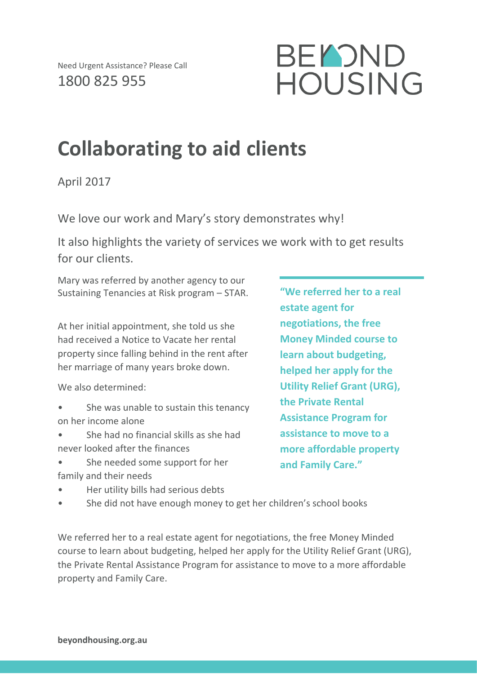

## **Collaborating to aid clients**

April 2017

We love our work and Mary's story demonstrates why!

It also highlights the variety of services we work with to get results for our clients.

Mary was referred by another agency to our Sustaining Tenancies at Risk program – STAR.

At her initial appointment, she told us she had received a Notice to Vacate her rental property since falling behind in the rent after her marriage of many years broke down.

We also determined:

- She was unable to sustain this tenancy on her income alone
- She had no financial skills as she had never looked after the finances
- She needed some support for her family and their needs
- Her utility bills had serious debts
- She did not have enough money to get her children's school books

**"We referred her to a real estate agent for negotiations, the free Money Minded course to learn about budgeting, helped her apply for the Utility Relief Grant (URG), the Private Rental Assistance Program for assistance to move to a more affordable property and Family Care."**

We referred her to a real estate agent for negotiations, the free Money Minded course to learn about budgeting, helped her apply for the Utility Relief Grant (URG), the Private Rental Assistance Program for assistance to move to a more affordable property and Family Care.